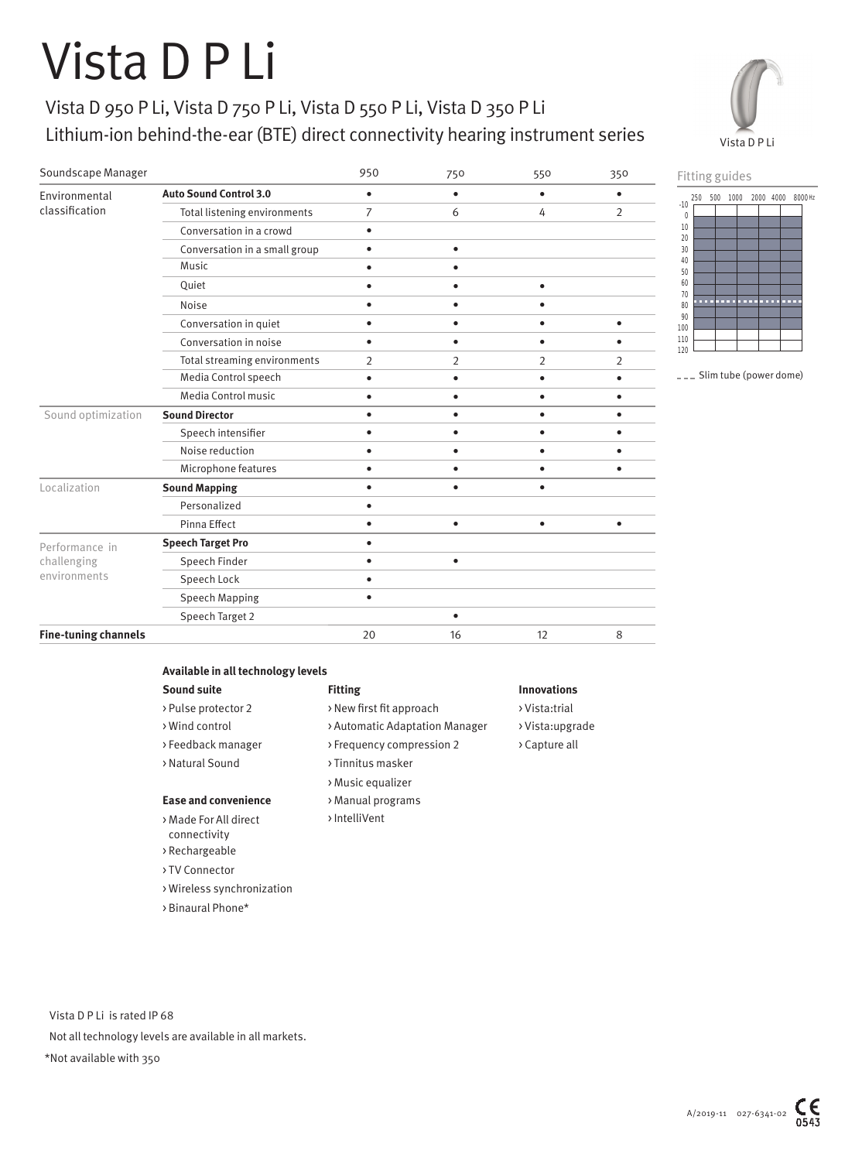## Vista D P Li

Environmental

## Vista D 950 P Li, Vista D 750 P Li, Vista D 550 P Li, Vista D 350 P Li Lithium-ion behind-the-ear (BTE) direct connectivity hearing instrument series

**Auto Sound Control 3.0** • • • •

Soundscape Manager 950 750 550 350





--- Slim tube (power dome)

| classification              | Total listening environments  | 7         | 6         | 4              | $\overline{2}$ |
|-----------------------------|-------------------------------|-----------|-----------|----------------|----------------|
|                             | Conversation in a crowd       |           |           |                |                |
|                             | Conversation in a small group | ٠         | ٠         |                |                |
|                             | Music                         |           |           |                |                |
|                             | Quiet                         |           |           | ٠              |                |
|                             | Noise                         |           |           |                |                |
|                             | Conversation in quiet         |           |           | ٠              | ٠              |
|                             | Conversation in noise         |           |           |                |                |
|                             | Total streaming environments  | 2         | 2         | $\overline{2}$ | 2              |
|                             | Media Control speech          | ٠         |           | ٠              |                |
|                             | Media Control music           |           |           |                |                |
| Sound optimization          | <b>Sound Director</b>         | $\bullet$ | ٠         | ٠              |                |
|                             | Speech intensifier            |           |           |                |                |
|                             | Noise reduction               |           |           |                |                |
|                             | Microphone features           |           |           |                |                |
| Localization                | <b>Sound Mapping</b>          | $\bullet$ | $\bullet$ | ٠              |                |
|                             | Personalized                  |           |           |                |                |
|                             | Pinna Effect                  | ٠         | $\bullet$ | ٠              | ٠              |
| Performance in              | <b>Speech Target Pro</b>      |           |           |                |                |
| challenging                 | Speech Finder                 |           | $\bullet$ |                |                |
| environments                | Speech Lock                   |           |           |                |                |
|                             | <b>Speech Mapping</b>         | $\bullet$ |           |                |                |
|                             | Speech Target 2               |           |           |                |                |
| <b>Fine-tuning channels</b> |                               | 20        | 16        | 12             | 8              |
|                             |                               |           |           |                |                |

> Music equalizer

> IntelliVent

| Available in all technology levels |                     |  |  |  |
|------------------------------------|---------------------|--|--|--|
| Sound suite                        | <b>Fitting</b>      |  |  |  |
| > Pulse protector 2                | > New first fit app |  |  |  |

- > Wind control > Automatic Adaptation Manager > Vista:upgrade
- > Feedback manager > Frequency compression 2 > Capture all > Natural Sound > Tinnitus masker
- 
- **Ease and convenience** > Manual programs
- > Made For All direct connectivity
- > Rechargeable
- > TV Connector
- > Wireless synchronization
- > Binaural Phone\*

## **Innovations**

- proach > Vista:trial
	-
	-

 Vista D P Li is rated IP 68 Not all technology levels are available in all markets. \*Not available with 350